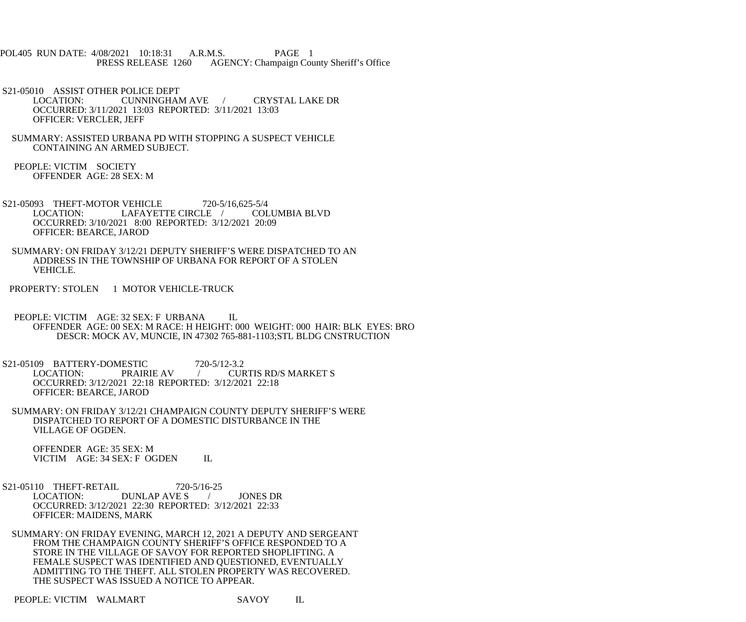- POL405 RUN DATE: 4/08/2021 10:18:31 A.R.M.S. PAGE 1<br>PRESS RELEASE 1260 AGENCY: Champaign Cou AGENCY: Champaign County Sheriff's Office
- S21-05010 ASSIST OTHER POLICE DEPT<br>LOCATION: CUNNINGHAI CUNNINGHAM AVE / CRYSTAL LAKE DR OCCURRED: 3/11/2021 13:03 REPORTED: 3/11/2021 13:03 OFFICER: VERCLER, JEFF
- SUMMARY: ASSISTED URBANA PD WITH STOPPING A SUSPECT VEHICLE CONTAINING AN ARMED SUBJECT.
- PEOPLE: VICTIM SOCIETY OFFENDER AGE: 28 SEX: M
- S21-05093 THEFT-MOTOR VEHICLE 720-5/16,625-5/4 LOCATION: LAFAYETTE CIRCLE / COLUMBIA BLVD OCCURRED: 3/10/2021 8:00 REPORTED: 3/12/2021 20:09 OFFICER: BEARCE, JAROD
- SUMMARY: ON FRIDAY 3/12/21 DEPUTY SHERIFF'S WERE DISPATCHED TO AN ADDRESS IN THE TOWNSHIP OF URBANA FOR REPORT OF A STOLEN VEHICLE.
- PROPERTY: STOLEN 1 MOTOR VEHICLE-TRUCK
- PEOPLE: VICTIM AGE: 32 SEX: F URBANA IL OFFENDER AGE: 00 SEX: M RACE: H HEIGHT: 000 WEIGHT: 000 HAIR: BLK EYES: BRO DESCR: MOCK AV, MUNCIE, IN 47302 765-881-1103;STL BLDG CNSTRUCTION
- S21-05109 BATTERY-DOMESTIC 720-5/12-3.2<br>LOCATION: PRAIRIE AV / CUP / CURTIS RD/S MARKET S OCCURRED: 3/12/2021 22:18 REPORTED: 3/12/2021 22:18 OFFICER: BEARCE, JAROD
- SUMMARY: ON FRIDAY 3/12/21 CHAMPAIGN COUNTY DEPUTY SHERIFF'S WERE DISPATCHED TO REPORT OF A DOMESTIC DISTURBANCE IN THE VILLAGE OF OGDEN.

 OFFENDER AGE: 35 SEX: M VICTIM AGE: 34 SEX: F OGDEN IL

- S21-05110 THEFT-RETAIL 720-5/16-25<br>LOCATION: DUNLAP AVE S DUNLAP AVE S / JONES DR OCCURRED: 3/12/2021 22:30 REPORTED: 3/12/2021 22:33 OFFICER: MAIDENS, MARK
- SUMMARY: ON FRIDAY EVENING, MARCH 12, 2021 A DEPUTY AND SERGEANT FROM THE CHAMPAIGN COUNTY SHERIFF'S OFFICE RESPONDED TO A STORE IN THE VILLAGE OF SAVOY FOR REPORTED SHOPLIFTING. A FEMALE SUSPECT WAS IDENTIFIED AND QUESTIONED, EVENTUALLY ADMITTING TO THE THEFT. ALL STOLEN PROPERTY WAS RECOVERED. THE SUSPECT WAS ISSUED A NOTICE TO APPEAR.

PEOPLE: VICTIM WALMART SAVOY IL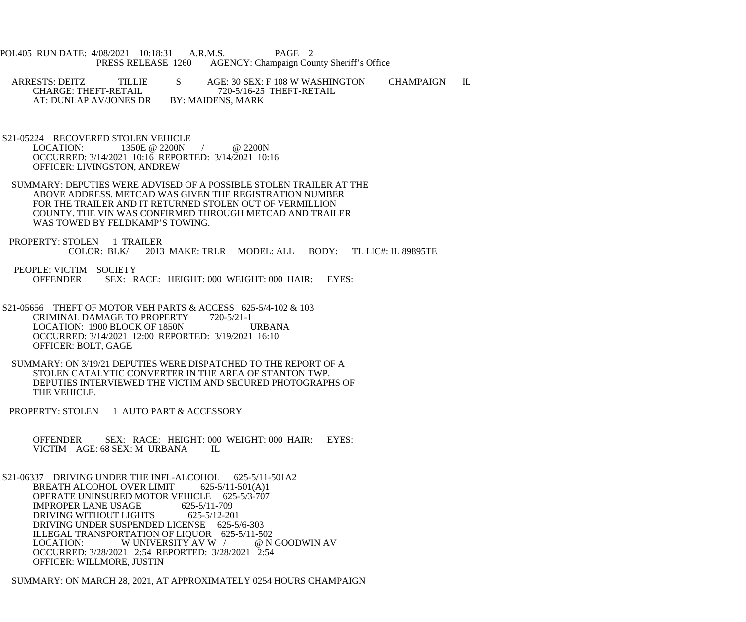- POL405 RUN DATE: 4/08/2021 10:18:31 A.R.M.S. PAGE 2<br>PRESS RELEASE 1260 AGENCY: Champaign Cou AGENCY: Champaign County Sheriff's Office
- ARRESTS: DEITZ TILLIE S AGE: 30 SEX: F 108 W WASHINGTON CHAMPAIGN IL CHARGE: THEFT-RETAIL 720-5/16-25 THEFT-RETAIL 720-5/16-25 THEFT-RETAIL<br>BY: MAIDENS, MARK AT: DUNLAP AV/JONES DR
- S21-05224 RECOVERED STOLEN VEHICLE<br>LOCATION: 1350E @ 2200N 1350E @ 2200N / @ 2200N OCCURRED: 3/14/2021 10:16 REPORTED: 3/14/2021 10:16 OFFICER: LIVINGSTON, ANDREW
- SUMMARY: DEPUTIES WERE ADVISED OF A POSSIBLE STOLEN TRAILER AT THE ABOVE ADDRESS. METCAD WAS GIVEN THE REGISTRATION NUMBER FOR THE TRAILER AND IT RETURNED STOLEN OUT OF VERMILLION COUNTY. THE VIN WAS CONFIRMED THROUGH METCAD AND TRAILER WAS TOWED BY FELDKAMP'S TOWING.
- PROPERTY: STOLEN 1 TRAILER<br>COLOR: BLK/ 2013 2013 MAKE: TRLR MODEL: ALL BODY: TL LIC#: IL 89895TE
- PEOPLE: VICTIM SOCIETY<br>OFFENDER SEX: R SEX: RACE: HEIGHT: 000 WEIGHT: 000 HAIR: EYES:
- S21-05656 THEFT OF MOTOR VEH PARTS & ACCESS 625-5/4-102 & 103 CRIMINAL DAMAGE TO PROPERTY 720-5/21-1 LOCATION: 1900 BLOCK OF 1850N URBANA OCCURRED: 3/14/2021 12:00 REPORTED: 3/19/2021 16:10 OFFICER: BOLT, GAGE
- SUMMARY: ON 3/19/21 DEPUTIES WERE DISPATCHED TO THE REPORT OF A STOLEN CATALYTIC CONVERTER IN THE AREA OF STANTON TWP. DEPUTIES INTERVIEWED THE VICTIM AND SECURED PHOTOGRAPHS OF THE VEHICLE.
- PROPERTY: STOLEN 1 AUTO PART & ACCESSORY
	- OFFENDER SEX: RACE: HEIGHT: 000 WEIGHT: 000 HAIR: EYES: VICTIM AGE: 68 SEX: M URBANA IL
- S21-06337 DRIVING UNDER THE INFL-ALCOHOL 625-5/11-501A2 BREATH ALCOHOL OVER LIMIT 625-5/11-501(A)1 OPERATE UNINSURED MOTOR VEHICLE 625-5/3-707<br>IMPROPER LANE USAGE 625-5/11-709 IMPROPER LANE USAGE 625-5/11-709<br>DRIVING WITHOUT LIGHTS 625-5/12-201 DRIVING WITHOUT LIGHTS DRIVING UNDER SUSPENDED LICENSE 625-5/6-303 ILLEGAL TRANSPORTATION OF LIQUOR 625-5/11-502<br>LOCATION: W UNIVERSITY AV W / @ N GOODWIN AV W UNIVERSITY AV W / OCCURRED: 3/28/2021 2:54 REPORTED: 3/28/2021 2:54 OFFICER: WILLMORE, JUSTIN
- SUMMARY: ON MARCH 28, 2021, AT APPROXIMATELY 0254 HOURS CHAMPAIGN